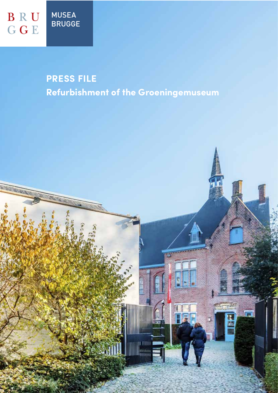# **PRESS FILE**

**Refurbishment of the Groeningemuseum**

**Imam**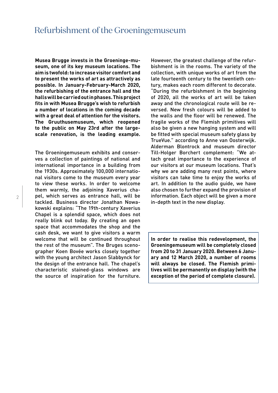**Musea Brugge invests in the Groeninge-museum, one of its key museum locations. The aim is twofold: to increase visitor comfort and to present the works of art as attractively as possible. In January-February-March 2020, the refurbishing of the entrance hall and the halls will be carried out in phases. This project fits in with Musea Brugge's wish to refurbish a number of locations in the coming decade with a great deal of attention for the visitors. The Gruuthusemuseum, which reopened to the public on May 23rd after the largescale renovation, is the leading example.** 

The Groeningemuseum exhibits and conserves a collection of paintings of national and international importance in a building from the 1930s. Approximately 100,000 international visitors come to the museum every year to view these works. In order to welcome them warmly, the adjoining Xaverius chapel, which serves as entrance hall, will be tackled. Business director Jonathan Nowakowski explains: "The 19th-century Xaverius Chapel is a splendid space, which does not really blink out today. By creating an open space that accommodates the shop and the cash desk, we want to give visitors a warm welcome that will be continued throughout the rest of the museum". The Bruges scenographer Koen Bovée works closely together with the young architect Jason Slabbynck for the design of the entrance hall. The chapel's characteristic stained-glass windows are the source of inspiration for the furniture.

However, the greatest challenge of the refurbishment is in the rooms. The variety of the collection, with unique works of art from the late fourteenth century to the twentieth century, makes each room different to decorate. "During the refurbishment in the beginning of 2020, all the works of art will be taken away and the chronological route will be reversed. New fresh colours will be added to the walls and the floor will be renewed. The fragile works of the Flemish primitives will also be given a new hanging system and will be fitted with special museum safety glass by TrueVue." according to Anne van Oosterwijk. Alderman Blontrock and museum director Till-Holger Borchert complement: "We attach great importance to the experience of our visitors at our museum locations. That's why we are adding many rest points, where visitors can take time to enjoy the works of art. In addition to the audio guide, we have also chosen to further expand the provision of information. Each object will be given a more in-depth text in the new display.

**In order to realise this redevelopment, the Groeningemuseum will be completely closed from 20 to 31 January 2020. Between 6 January and 12 March 2020, a number of rooms will always be closed. The Flemish primitives will be permanently on display (with the exception of the period of complete closure).**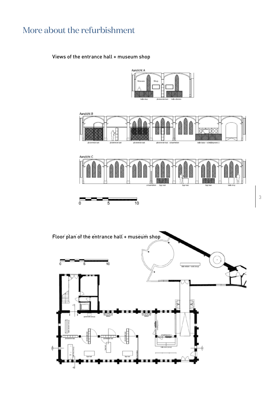## More about the refurbishment

### Views of the entrance hall + museum shop

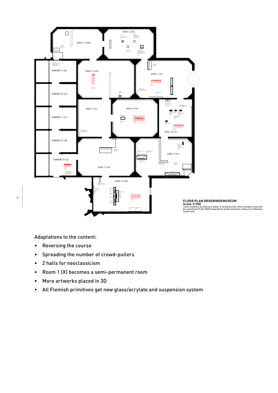

Adaptations to the content:

• Reversing the course

4

- Spreading the number of crowd-pullers
- 2 halls for neoclassicism
- Room 1 (X) becomes a semi-permanent room
- More artworks placed in 3D
- All Flemish primitives get new glass/acrylate and suspension system